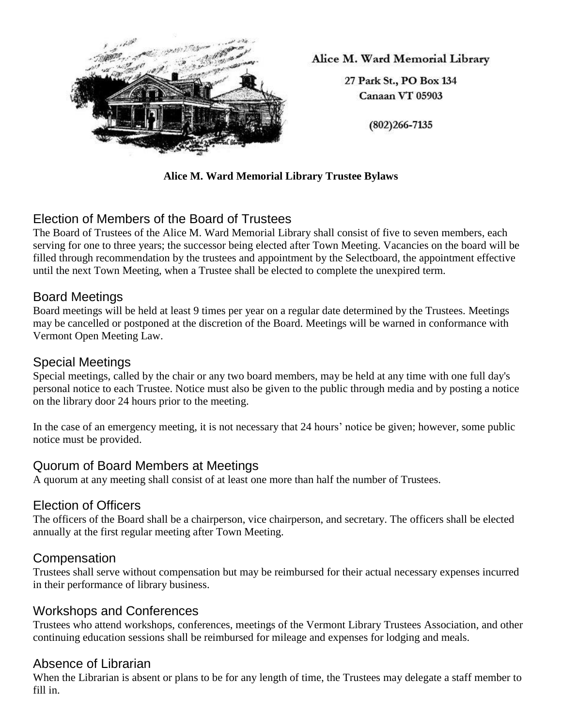

Alice M. Ward Memorial Library

27 Park St., PO Box 134 Canaan VT 05903

 $(802)266 - 7135$ 

#### **Alice M. Ward Memorial Library Trustee Bylaws**

# Election of Members of the Board of Trustees

The Board of Trustees of the Alice M. Ward Memorial Library shall consist of five to seven members, each serving for one to three years; the successor being elected after Town Meeting. Vacancies on the board will be filled through recommendation by the trustees and appointment by the Selectboard, the appointment effective until the next Town Meeting, when a Trustee shall be elected to complete the unexpired term.

### Board Meetings

Board meetings will be held at least 9 times per year on a regular date determined by the Trustees. Meetings may be cancelled or postponed at the discretion of the Board. Meetings will be warned in conformance with Vermont Open Meeting Law.

#### Special Meetings

Special meetings, called by the chair or any two board members, may be held at any time with one full day's personal notice to each Trustee. Notice must also be given to the public through media and by posting a notice on the library door 24 hours prior to the meeting.

In the case of an emergency meeting, it is not necessary that 24 hours' notice be given; however, some public notice must be provided.

## Quorum of Board Members at Meetings

A quorum at any meeting shall consist of at least one more than half the number of Trustees.

### Election of Officers

The officers of the Board shall be a chairperson, vice chairperson, and secretary. The officers shall be elected annually at the first regular meeting after Town Meeting.

### Compensation

Trustees shall serve without compensation but may be reimbursed for their actual necessary expenses incurred in their performance of library business.

### Workshops and Conferences

Trustees who attend workshops, conferences, meetings of the Vermont Library Trustees Association, and other continuing education sessions shall be reimbursed for mileage and expenses for lodging and meals.

### Absence of Librarian

When the Librarian is absent or plans to be for any length of time, the Trustees may delegate a staff member to fill in.